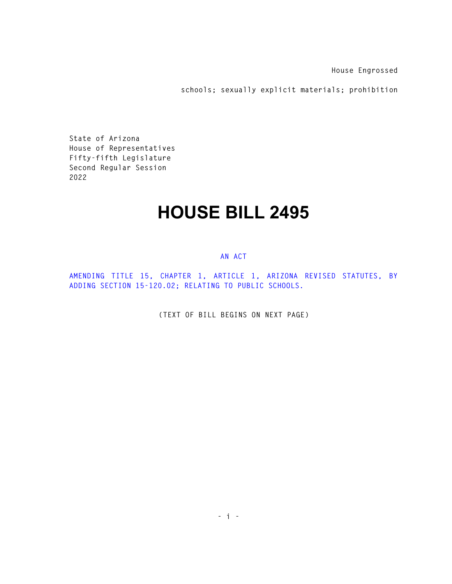**House Engrossed** 

**schools; sexually explicit materials; prohibition** 

**State of Arizona House of Representatives Fifty-fifth Legislature Second Regular Session 2022** 

## **HOUSE BILL 2495**

## **AN ACT**

**AMENDING TITLE 15, CHAPTER 1, ARTICLE 1, ARIZONA REVISED STATUTES, BY ADDING SECTION 15-120.02; RELATING TO PUBLIC SCHOOLS.** 

**(TEXT OF BILL BEGINS ON NEXT PAGE)**